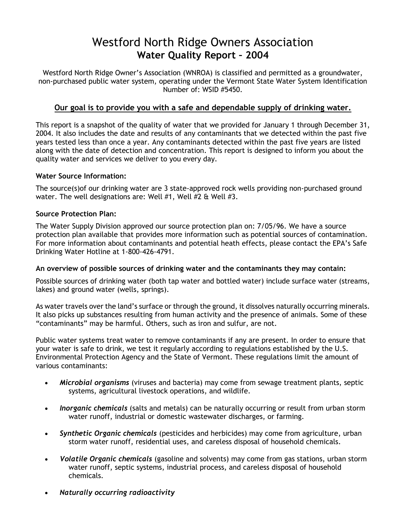# Westford North Ridge Owners Association **Water Quality Report – 2004**

Westford North Ridge Owner's Association (WNROA) is classified and permitted as a groundwater, non-purchased public water system, operating under the Vermont State Water System Identification Number of: WSID #5450.

### **Our goal is to provide you with a safe and dependable supply of drinking water.**

This report is a snapshot of the quality of water that we provided for January 1 through December 31, 2004. It also includes the date and results of any contaminants that we detected within the past five years tested less than once a year. Any contaminants detected within the past five years are listed along with the date of detection and concentration. This report is designed to inform you about the quality water and services we deliver to you every day.

#### **Water Source Information:**

The source(s)of our drinking water are 3 state-approved rock wells providing non-purchased ground water. The well designations are: Well #1, Well #2 & Well #3.

#### **Source Protection Plan:**

The Water Supply Division approved our source protection plan on: 7/05/96. We have a source protection plan available that provides more information such as potential sources of contamination. For more information about contaminants and potential heath effects, please contact the EPA's Safe Drinking Water Hotline at 1-800-426-4791.

### **An overview of possible sources of drinking water and the contaminants they may contain:**

Possible sources of drinking water (both tap water and bottled water) include surface water (streams, lakes) and ground water (wells, springs).

As water travels over the land's surface or through the ground, it dissolves naturally occurring minerals. It also picks up substances resulting from human activity and the presence of animals. Some of these "contaminants" may be harmful. Others, such as iron and sulfur, are not.

Public water systems treat water to remove contaminants if any are present. In order to ensure that your water is safe to drink, we test it regularly according to regulations established by the U.S. Environmental Protection Agency and the State of Vermont. These regulations limit the amount of various contaminants:

- *Microbial organisms* (viruses and bacteria) may come from sewage treatment plants, septic systems, agricultural livestock operations, and wildlife.
- *Inorganic chemicals* (salts and metals) can be naturally occurring or result from urban storm water runoff, industrial or domestic wastewater discharges, or farming.
- *Synthetic Organic chemicals* (pesticides and herbicides) may come from agriculture, urban storm water runoff, residential uses, and careless disposal of household chemicals.
- *Volatile Organic chemicals* (gasoline and solvents) may come from gas stations, urban storm water runoff, septic systems, industrial process, and careless disposal of household chemicals.
- *Naturally occurring radioactivity*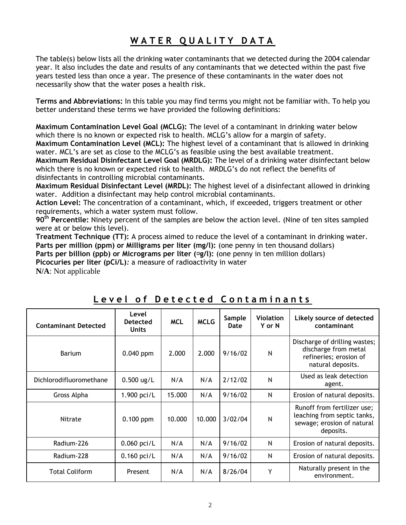# **W A T E R Q U A L I T Y D A T A**

The table(s) below lists all the drinking water contaminants that we detected during the 2004 calendar year. It also includes the date and results of any contaminants that we detected within the past five years tested less than once a year. The presence of these contaminants in the water does not necessarily show that the water poses a health risk.

**Terms and Abbreviations:** In this table you may find terms you might not be familiar with. To help you better understand these terms we have provided the following definitions:

**Maximum Contamination Level Goal (MCLG):** The level of a contaminant in drinking water below which there is no known or expected risk to health. MCLG's allow for a margin of safety.

**Maximum Contamination Level (MCL):** The highest level of a contaminant that is allowed in drinking water. MCL's are set as close to the MCLG's as feasible using the best available treatment.

**Maximum Residual Disinfectant Level Goal (MRDLG):** The level of a drinking water disinfectant below which there is no known or expected risk to health. MRDLG's do not reflect the benefits of disinfectants in controlling microbial contaminants.

**Maximum Residual Disinfectant Level (MRDL):** The highest level of a disinfectant allowed in drinking water. Addition a disinfectant may help control microbial contaminants.

**Action Level:** The concentration of a contaminant, which, if exceeded, triggers treatment or other requirements, which a water system must follow.

**90th Percentile:** Ninety percent of the samples are below the action level. (Nine of ten sites sampled were at or below this level).

**Treatment Technique (TT):** A process aimed to reduce the level of a contaminant in drinking water. **Parts per million (ppm) or Milligrams per liter (mg/l):** (one penny in ten thousand dollars) **Parts per billion (ppb) or Micrograms per liter (** $\Xi$ **g/l): (one penny in ten million dollars) Picocuries per liter (pCi/L)***:* a measure of radioactivity in water

**N/A**: Not applicable

| <b>Contaminant Detected</b> | Level<br><b>Detected</b><br><b>Units</b> | <b>MCL</b> | <b>MCLG</b> | Sample<br>Date | Violation<br>Y or N | Likely source of detected<br>contaminant                                                              |
|-----------------------------|------------------------------------------|------------|-------------|----------------|---------------------|-------------------------------------------------------------------------------------------------------|
| <b>Barium</b>               | $0.040$ ppm                              | 2.000      | 2.000       | 9/16/02        | N                   | Discharge of drilling wastes;<br>discharge from metal<br>refineries; erosion of<br>natural deposits.  |
| Dichlorodifluoromethane     | $0.500$ ug/L                             | N/A        | N/A         | 2/12/02        | $\mathsf{N}$        | Used as leak detection<br>agent.                                                                      |
| Gross Alpha                 | 1.900 pci/L                              | 15.000     | N/A         | 9/16/02        | $\mathsf{N}$        | Erosion of natural deposits.                                                                          |
| Nitrate                     | $0.100$ ppm                              | 10.000     | 10.000      | 3/02/04        | N                   | Runoff from fertilizer use;<br>leaching from septic tanks,<br>sewage; erosion of natural<br>deposits. |
| Radium-226                  | $0.060$ pci/L                            | N/A        | N/A         | 9/16/02        | N                   | Erosion of natural deposits.                                                                          |
| Radium-228                  | $0.160$ pci/L                            | N/A        | N/A         | 9/16/02        | N                   | Erosion of natural deposits.                                                                          |
| <b>Total Coliform</b>       | Present                                  | N/A        | N/A         | 8/26/04        | Y                   | Naturally present in the<br>environment.                                                              |

Level of Detected Contaminants